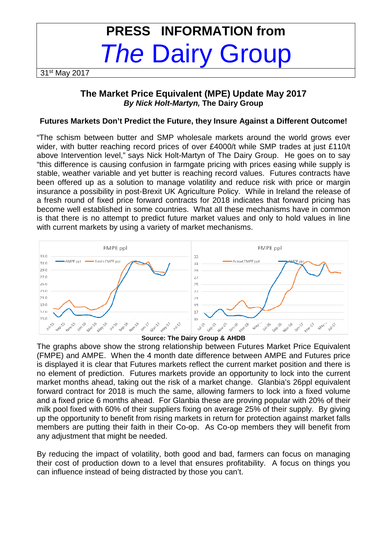# **PRESS INFORMATION from The Dairy Group**

31<sup>st</sup> May 2017

## **The Market Price Equivalent (MPE) Update May 2017 By Nick Holt-Martyn, The Dairy Group**

## **Futures Markets Don't Predict the Future, they Insure Against a Different Outcome!**

"The schism between butter and SMP wholesale markets around the world grows ever wider, with butter reaching record prices of over £4000/t while SMP trades at just £110/t above Intervention level," says Nick Holt-Martyn of The Dairy Group. He goes on to say "this difference is causing confusion in farmgate pricing with prices easing while supply is stable, weather variable and yet butter is reaching record values. Futures contracts have been offered up as a solution to manage volatility and reduce risk with price or margin insurance a possibility in post-Brexit UK Agriculture Policy. While in Ireland the release of a fresh round of fixed price forward contracts for 2018 indicates that forward pricing has become well established in some countries. What all these mechanisms have in common is that there is no attempt to predict future market values and only to hold values in line with current markets by using a variety of market mechanisms.



**Source: The Dairy Group & AHDB** 

The graphs above show the strong relationship between Futures Market Price Equivalent (FMPE) and AMPE. When the 4 month date difference between AMPE and Futures price is displayed it is clear that Futures markets reflect the current market position and there is no element of prediction. Futures markets provide an opportunity to lock into the current market months ahead, taking out the risk of a market change. Glanbia's 26ppl equivalent forward contract for 2018 is much the same, allowing farmers to lock into a fixed volume and a fixed price 6 months ahead. For Glanbia these are proving popular with 20% of their milk pool fixed with 60% of their suppliers fixing on average 25% of their supply. By giving up the opportunity to benefit from rising markets in return for protection against market falls members are putting their faith in their Co-op. As Co-op members they will benefit from any adjustment that might be needed.

By reducing the impact of volatility, both good and bad, farmers can focus on managing their cost of production down to a level that ensures profitability. A focus on things you can influence instead of being distracted by those you can't.